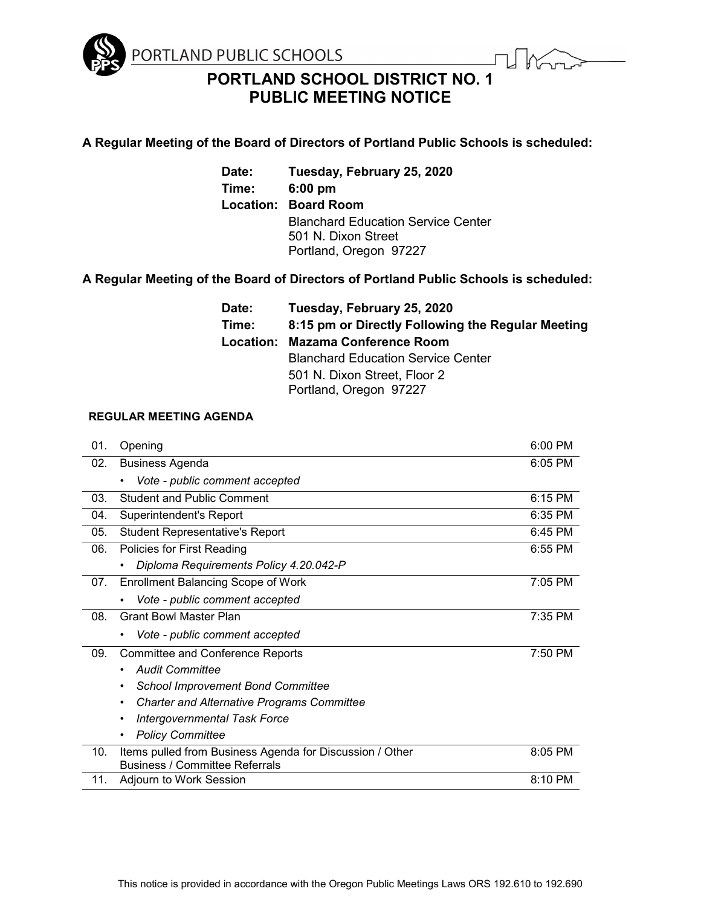

**PORTLAND SCHOOL DISTRICT NO. 1 PUBLIC MEETING NOTICE**

### **A Regular Meeting of the Board of Directors of Portland Public Schools is scheduled:**

**Date: Tuesday, February 25, 2020 Time: 6:00 pm Location: Board Room** Blanchard Education Service Center 501 N. Dixon Street Portland, Oregon 97227

# **A Regular Meeting of the Board of Directors of Portland Public Schools is scheduled:**

**Date: Tuesday, February 25, 2020 Time: 8:15 pm or Directly Following the Regular Meeting Location: Mazama Conference Room** Blanchard Education Service Center 501 N. Dixon Street, Floor 2 Portland, Oregon 97227

## **REGULAR MEETING AGENDA**

| 01. | Opening                                                                                           | 6:00 PM |
|-----|---------------------------------------------------------------------------------------------------|---------|
| 02. | <b>Business Agenda</b>                                                                            | 6:05 PM |
|     | Vote - public comment accepted                                                                    |         |
| 03. | <b>Student and Public Comment</b>                                                                 | 6:15 PM |
| 04. | Superintendent's Report                                                                           | 6:35 PM |
| 05. | <b>Student Representative's Report</b>                                                            | 6:45 PM |
| 06. | Policies for First Reading                                                                        | 6:55 PM |
|     | Diploma Requirements Policy 4.20.042-P                                                            |         |
| 07. | <b>Enrollment Balancing Scope of Work</b>                                                         | 7:05 PM |
|     | Vote - public comment accepted<br>٠                                                               |         |
| 08. | <b>Grant Bowl Master Plan</b>                                                                     | 7:35 PM |
|     | Vote - public comment accepted<br>$\bullet$                                                       |         |
| 09. | <b>Committee and Conference Reports</b>                                                           | 7:50 PM |
|     | <b>Audit Committee</b>                                                                            |         |
|     | <b>School Improvement Bond Committee</b>                                                          |         |
|     | <b>Charter and Alternative Programs Committee</b>                                                 |         |
|     | <b>Intergovernmental Task Force</b>                                                               |         |
|     | <b>Policy Committee</b>                                                                           |         |
| 10. | Items pulled from Business Agenda for Discussion / Other<br><b>Business / Committee Referrals</b> | 8:05 PM |
| 11. | Adjourn to Work Session                                                                           | 8:10 PM |